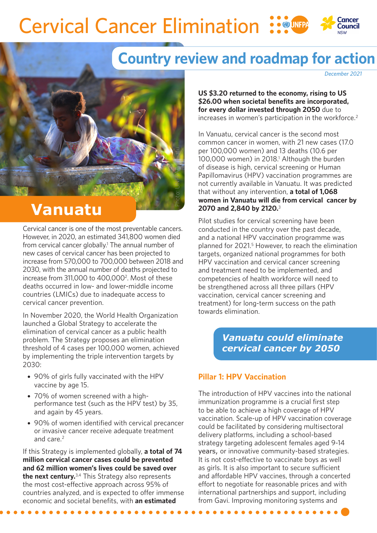## **Cervical Cancer Elimination** Council

Photo: UNFPA Vanuatu

# **Country review and roadmap for action**

*December 2021*

**US \$3.20 returned to the economy, rising to US \$26.00 when societal benefits are incorporated, for every dollar invested through 2050** due to increases in women's participation in the workforce.<sup>2</sup>

In Vanuatu, cervical cancer is the second most common cancer in women, with 21 new cases (17.0 per 100,000 women) and 13 deaths (10.6 per 100,000 women) in 2018.1 Although the burden of disease is high, cervical screening or Human Papillomavirus (HPV) vaccination programmes are not currently available in Vanuatu. It was predicted that without any intervention, **a total of 1,068 women in Vanuatu will die from cervical cancer by 2070 and 2,840 by 2120.**<sup>3</sup>

Pilot studies for cervical screening have been conducted in the country over the past decade, and a national HPV vaccination programme was planned for 2021.5 However, to reach the elimination targets, organized national programmes for both HPV vaccination and cervical cancer screening and treatment need to be implemented, and competencies of health workforce will need to be strengthened across all three pillars (HPV vaccination, cervical cancer screening and treatment) for long-term success on the path towards elimination.

## *Vanuatu could eliminate cervical cancer by 2050*

### **Pillar 1: HPV Vaccination**

The introduction of HPV vaccines into the national immunization programme is a crucial first step to be able to achieve a high coverage of HPV vaccination. Scale-up of HPV vaccination coverage could be facilitated by considering multisectoral delivery platforms, including a school-based strategy targeting adolescent females aged 9-14 years, or innovative community-based strategies. It is not cost-effective to vaccinate boys as well as girls. It is also important to secure sufficient and affordable HPV vaccines, through a concerted effort to negotiate for reasonable prices and with international partnerships and support, including from Gavi. Improving monitoring systems and

# **Vanuatu**

Cervical cancer is one of the most preventable cancers. However, in 2020, an estimated 341,800 women died from cervical cancer globally.<sup>1</sup> The annual number of new cases of cervical cancer has been projected to increase from 570,000 to 700,000 between 2018 and 2030, with the annual number of deaths projected to increase from 311,000 to 400,0002. Most of these deaths occurred in low- and lower-middle income countries (LMICs) due to inadequate access to cervical cancer prevention.

In November 2020, the World Health Organization launched a Global Strategy to accelerate the elimination of cervical cancer as a public health problem. The Strategy proposes an elimination threshold of 4 cases per 100,000 women, achieved by implementing the triple intervention targets by 2030:

- 90% of girls fully vaccinated with the HPV vaccine by age 15.
- 70% of women screened with a highperformance test (such as the HPV test) by 35, and again by 45 years.
- 90% of women identified with cervical precancer or invasive cancer receive adequate treatment and care.<sup>2</sup>

If this Strategy is implemented globally, **a total of 74 million cervical cancer cases could be prevented and 62 million women's lives could be saved over the next century.**3,4 This Strategy also represents the most cost-effective approach across 95% of countries analyzed, and is expected to offer immense economic and societal benefits, with **an estimated**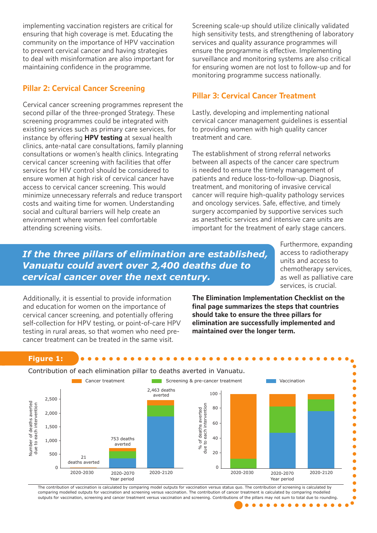implementing vaccination registers are critical for ensuring that high coverage is met. Educating the community on the importance of HPV vaccination to prevent cervical cancer and having strategies to deal with misinformation are also important for maintaining confidence in the programme.

### **Pillar 2: Cervical Cancer Screening**

Cervical cancer screening programmes represent the second pillar of the three-pronged Strategy. These screening programmes could be integrated with existing services such as primary care services, for instance by offering **HPV testing** at sexual health clinics, ante-natal care consultations, family planning consultations or women's health clinics. Integrating cervical cancer screening with facilities that offer services for HIV control should be considered to ensure women at high risk of cervical cancer have access to cervical cancer screening. This would minimize unnecessary referrals and reduce transport costs and waiting time for women. Understanding social and cultural barriers will help create an environment where women feel comfortable attending screening visits.

Screening scale-up should utilize clinically validated high sensitivity tests, and strengthening of laboratory services and quality assurance programmes will ensure the programme is effective. Implementing surveillance and monitoring systems are also critical for ensuring women are not lost to follow-up and for monitoring programme success nationally.

## **Pillar 3: Cervical Cancer Treatment**

Lastly, developing and implementing national cervical cancer management guidelines is essential to providing women with high quality cancer treatment and care.

The establishment of strong referral networks between all aspects of the cancer care spectrum is needed to ensure the timely management of patients and reduce loss-to-follow-up. Diagnosis, treatment, and monitoring of invasive cervical cancer will require high-quality pathology services and oncology services. Safe, effective, and timely surgery accompanied by supportive services such as anesthetic services and intensive care units are important for the treatment of early stage cancers.

## *If the three pillars of elimination are established, Vanuatu could avert over 2,400 deaths due to cervical cancer over the next century.*

Furthermore, expanding access to radiotherapy units and access to chemotherapy services, as well as palliative care services, is crucial.

Additionally, it is essential to provide information and education for women on the importance of cervical cancer screening, and potentially offering self-collection for HPV testing, or point-of-care HPV testing in rural areas, so that women who need precancer treatment can be treated in the same visit.

**The Elimination Implementation Checklist on the final page summarizes the steps that countries should take to ensure the three pillars for elimination are successfully implemented and maintained over the longer term.**

#### **Figure 1:**





The contribution of vaccination is calculated by comparing model outputs for vaccination versus status quo. The contribution of screening is calculated by comparing modelled outputs for vaccination and screening versus vaccination. The contribution of cancer treatment is calculated by comparing modelled outputs for vaccination, screening and cancer treatment versus vaccination and screening. Contributions of the pillars may not sum to total due to rounding.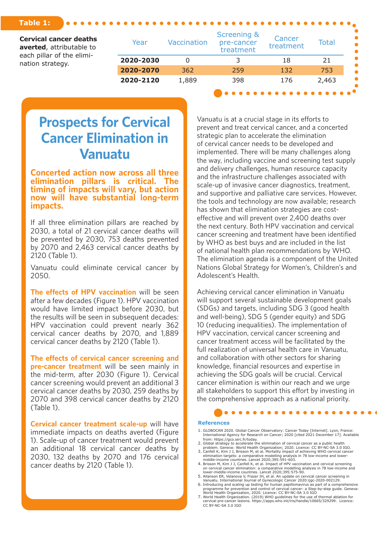#### **Table 1:**

**Cervical cancer deaths averted**, attributable to each pillar of the elimination strategy.

| Year      | <b>Vaccination</b> | Screening &<br>pre-cancer<br>treatment | Cancer<br>treatment | <b>Total</b> |
|-----------|--------------------|----------------------------------------|---------------------|--------------|
| 2020-2030 |                    |                                        | 18                  | 21           |
| 2020-2070 | 362                | 259                                    | 132                 | 753          |
| 2020-2120 | 1,889              | 398                                    | 176                 | 2,463        |

# **Prospects for Cervical Cancer Elimination in Vanuatu**

**Concerted action now across all three elimination pillars is critical. The timing of impacts will vary, but action now will have substantial long-term impacts.**

If all three elimination pillars are reached by 2030, a total of 21 cervical cancer deaths will be prevented by 2030, 753 deaths prevented by 2070 and 2,463 cervical cancer deaths by 2120 (Table 1).

Vanuatu could eliminate cervical cancer by 2050.

**The effects of HPV vaccination** will be seen after a few decades (Figure 1). HPV vaccination would have limited impact before 2030, but the results will be seen in subsequent decades: HPV vaccination could prevent nearly 362 cervical cancer deaths by 2070, and 1,889 cervical cancer deaths by 2120 (Table 1).

**The effects of cervical cancer screening and pre-cancer treatment** will be seen mainly in the mid-term, after 2030 (Figure 1). Cervical cancer screening would prevent an additional 3 cervical cancer deaths by 2030, 259 deaths by 2070 and 398 cervical cancer deaths by 2120 (Table 1).

**Cervical cancer treatment scale-up** will have immediate impacts on deaths averted (Figure 1). Scale-up of cancer treatment would prevent an additional 18 cervical cancer deaths by 2030, 132 deaths by 2070 and 176 cervical cancer deaths by 2120 (Table 1).

Vanuatu is at a crucial stage in its efforts to prevent and treat cervical cancer, and a concerted strategic plan to accelerate the elimination of cervical cancer needs to be developed and implemented. There will be many challenges along the way, including vaccine and screening test supply and delivery challenges, human resource capacity and the infrastructure challenges associated with scale-up of invasive cancer diagnostics, treatment, and supportive and palliative care services. However, the tools and technology are now available; research has shown that elimination strategies are costeffective and will prevent over 2,400 deaths over the next century. Both HPV vaccination and cervical cancer screening and treatment have been identified by WHO as best buys and are included in the list of national health plan recommendations by WHO. The elimination agenda is a component of the United Nations Global Strategy for Women's, Children's and Adolescent's Health.

Achieving cervical cancer elimination in Vanuatu will support several sustainable development goals (SDGs) and targets, including SDG 3 (good health and well-being), SDG 5 (gender equity) and SDG 10 (reducing inequalities). The implementation of HPV vaccination, cervical cancer screening and cancer treatment access will be facilitated by the full realization of universal health care in Vanuatu, and collaboration with other sectors for sharing knowledge, financial resources and expertise in achieving the SDG goals will be crucial. Cervical cancer elimination is within our reach and we urge all stakeholders to support this effort by investing in the comprehensive approach as a national priority.

#### **References**

- 1. GLOBOCAN 2020. Global Cancer Observatory: Cancer Today [Internet]. Lyon, France: International Agency for Research on Cancer; 2020 [cited 2021 December 17]. Available from: https://gco.iarc.fr/today.
- 
- 2. Global strategy to accelerate the elimination of cervical cancer as a public health<br>problem. Geneva: World Health Organization; 2020. Licence: CC BY-NC-SA 3.0 IGO.<br>3. Canfell K, Kim J J, Brisson M, et al. Mortality impa
- elimination targets: a comparative modelling analysis in 78 low-income and lower-middle-income countries. Lancet 2020;395:591-603. 4. Brisson M, Kim J J, Canfell K, et al. Impact of HPV vaccination and cervical screening
- on cervical cancer elimination: a comparative modelling analysis in 78 low-income and<br>lower-middle-income countries. Lancet 2020;395:575-90.<br>5. Allanson ER, Velanova V, Frazer IH, et al. An update on cervical cancer screen
- 
- 6. Introducing and scaling up testing for human papillomavirus as part of a comprehensive programme for prevention and control of cervical cancer: a Step-by-step guide. Geneva: World Health Organization, 2020. Licence: CC BY-NC-SA 3.0 IGO
- 7. World Health Organization. (2019) WHO guidelines for the use of thermal ablation for cervical pre-cancer lesions. https://apps.who.int/iris/handle/10665/329299. Licence: CC BY-NC-SA 3.0 IGO